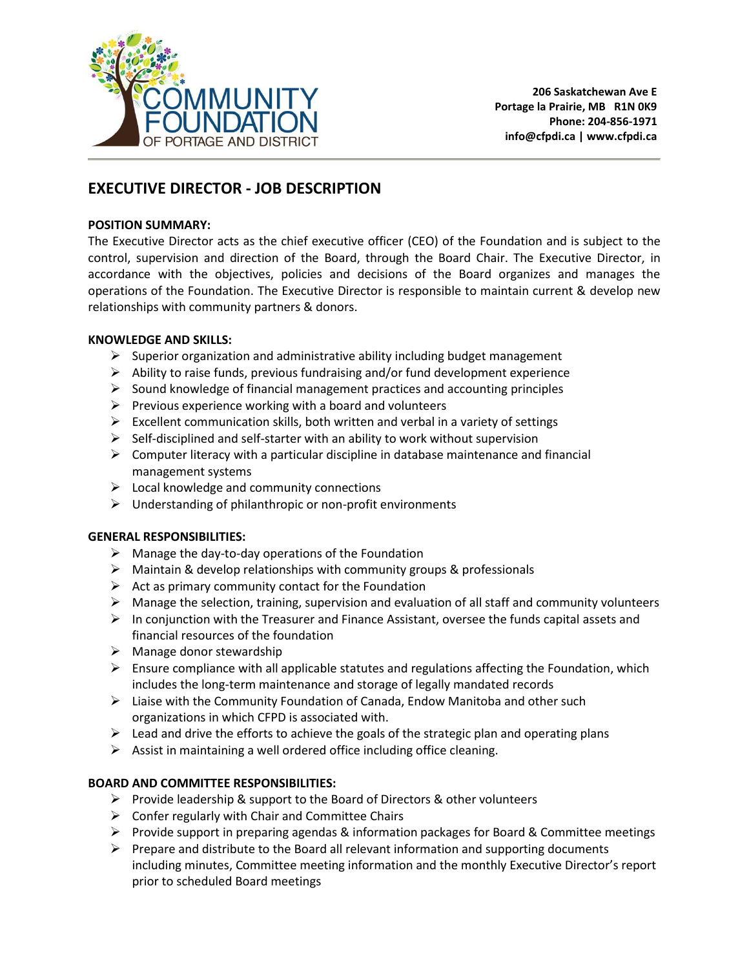

# **EXECUTIVE DIRECTOR - JOB DESCRIPTION**

# **POSITION SUMMARY:**

The Executive Director acts as the chief executive officer (CEO) of the Foundation and is subject to the control, supervision and direction of the Board, through the Board Chair. The Executive Director, in accordance with the objectives, policies and decisions of the Board organizes and manages the operations of the Foundation. The Executive Director is responsible to maintain current & develop new relationships with community partners & donors.

# **KNOWLEDGE AND SKILLS:**

- $\triangleright$  Superior organization and administrative ability including budget management
- $\triangleright$  Ability to raise funds, previous fundraising and/or fund development experience
- $\triangleright$  Sound knowledge of financial management practices and accounting principles
- $\triangleright$  Previous experience working with a board and volunteers
- $\triangleright$  Excellent communication skills, both written and verbal in a variety of settings
- $\triangleright$  Self-disciplined and self-starter with an ability to work without supervision
- $\triangleright$  Computer literacy with a particular discipline in database maintenance and financial management systems
- $\triangleright$  Local knowledge and community connections
- $\triangleright$  Understanding of philanthropic or non-profit environments

# **GENERAL RESPONSIBILITIES:**

- $\triangleright$  Manage the day-to-day operations of the Foundation
- $\triangleright$  Maintain & develop relationships with community groups & professionals
- $\triangleright$  Act as primary community contact for the Foundation
- $\triangleright$  Manage the selection, training, supervision and evaluation of all staff and community volunteers
- $\triangleright$  In conjunction with the Treasurer and Finance Assistant, oversee the funds capital assets and financial resources of the foundation
- $\triangleright$  Manage donor stewardship
- $\triangleright$  Ensure compliance with all applicable statutes and regulations affecting the Foundation, which includes the long-term maintenance and storage of legally mandated records
- $\triangleright$  Liaise with the Community Foundation of Canada, Endow Manitoba and other such organizations in which CFPD is associated with.
- $\triangleright$  Lead and drive the efforts to achieve the goals of the strategic plan and operating plans
- $\triangleright$  Assist in maintaining a well ordered office including office cleaning.

# **BOARD AND COMMITTEE RESPONSIBILITIES:**

- $\triangleright$  Provide leadership & support to the Board of Directors & other volunteers
- $\triangleright$  Confer regularly with Chair and Committee Chairs
- Provide support in preparing agendas & information packages for Board & Committee meetings
- $\triangleright$  Prepare and distribute to the Board all relevant information and supporting documents including minutes, Committee meeting information and the monthly Executive Director's report prior to scheduled Board meetings